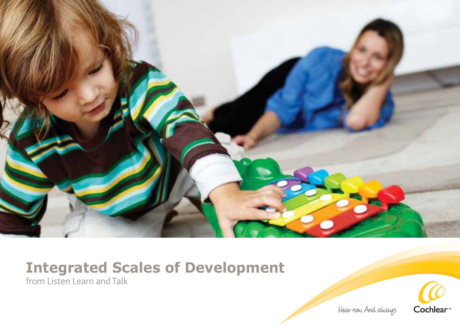

# **Integrated Scales of Development**

from Listen Learn and Talk

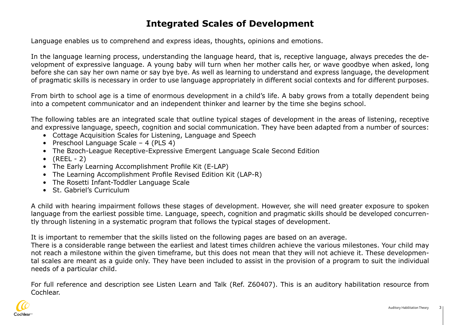#### **Integrated Scales of Development**

Language enables us to comprehend and express ideas, thoughts, opinions and emotions.

In the language learning process, understanding the language heard, that is, receptive language, always precedes the development of expressive language. A young baby will turn when her mother calls her, or wave goodbye when asked, long before she can say her own name or say bye bye. As well as learning to understand and express language, the development of pragmatic skills is necessary in order to use language appropriately in different social contexts and for different purposes.

From birth to school age is a time of enormous development in a child's life. A baby grows from a totally dependent being into a competent communicator and an independent thinker and learner by the time she begins school.

The following tables are an integrated scale that outline typical stages of development in the areas of listening, receptive and expressive language, speech, cognition and social communication. They have been adapted from a number of sources:

- Cottage Acquisition Scales for Listening, Language and Speech
- Preschool Language Scale 4 (PLS 4)
- The Bzoch-League Receptive-Expressive Emergent Language Scale Second Edition
- $\bullet$  (REEL 2)
- The Early Learning Accomplishment Profile Kit (E-LAP)
- The Learning Accomplishment Profile Revised Edition Kit (LAP-R)
- The Rosetti Infant-Toddler Language Scale
- St. Gabriel's Curriculum

A child with hearing impairment follows these stages of development. However, she will need greater exposure to spoken language from the earliest possible time. Language, speech, cognition and pragmatic skills should be developed concurrently through listening in a systematic program that follows the typical stages of development.

It is important to remember that the skills listed on the following pages are based on an average.

There is a considerable range between the earliest and latest times children achieve the various milestones. Your child may not reach a milestone within the given timeframe, but this does not mean that they will not achieve it. These developmental scales are meant as a guide only. They have been included to assist in the provision of a program to suit the individual needs of a particular child.

For full reference and description see Listen Learn and Talk (Ref. Z60407). This is an auditory habilitation resource from Cochlear.

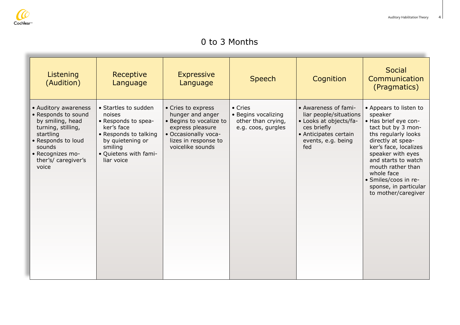

#### 0 to 3 Months

| Listening<br>(Audition)                                                                                                                                                                | Receptive<br>Language                                                                                                                                              | <b>Expressive</b><br>Language                                                                                                                             | <b>Speech</b>                                                              | Cognition                                                                                                                                     | Social<br>Communication<br>(Pragmatics)                                                                                                                                                                                                                                                                     |
|----------------------------------------------------------------------------------------------------------------------------------------------------------------------------------------|--------------------------------------------------------------------------------------------------------------------------------------------------------------------|-----------------------------------------------------------------------------------------------------------------------------------------------------------|----------------------------------------------------------------------------|-----------------------------------------------------------------------------------------------------------------------------------------------|-------------------------------------------------------------------------------------------------------------------------------------------------------------------------------------------------------------------------------------------------------------------------------------------------------------|
| • Auditory awareness<br>• Responds to sound<br>by smiling, head<br>turning, stilling,<br>startling<br>• Responds to loud<br>sounds<br>• Recognizes mo-<br>ther's/ caregiver's<br>voice | • Startles to sudden<br>noises<br>• Responds to spea-<br>ker's face<br>• Responds to talking<br>by quietening or<br>smiling<br>· Quietens with fami-<br>liar voice | • Cries to express<br>hunger and anger<br>• Begins to vocalize to<br>express pleasure<br>• Occasionally voca-<br>lizes in response to<br>voicelike sounds | • Cries<br>• Begins vocalizing<br>other than crying,<br>e.g. coos, gurgles | • Awareness of fami-<br>liar people/situations<br>• Looks at objects/fa-<br>ces briefly<br>• Anticipates certain<br>events, e.g. being<br>fed | • Appears to listen to<br>speaker<br>• Has brief eye con-<br>tact but by 3 mon-<br>ths regularly looks<br>directly at spea-<br>ker's face, localizes<br>speaker with eyes<br>and starts to watch<br>mouth rather than<br>whole face<br>· Smiles/coos in re-<br>sponse, in particular<br>to mother/caregiver |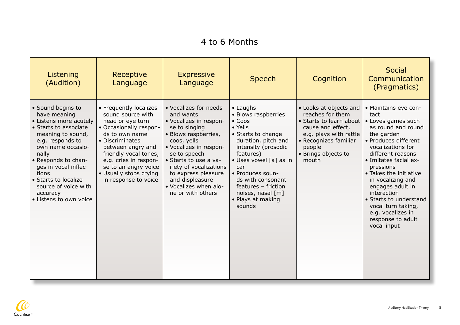### 4 to 6 Months

| Listening<br>(Audition)                                                                                                                                                                                                                                                                                   | Receptive<br>Language                                                                                                                                                                                                                                                           | <b>Expressive</b><br>Language                                                                                                                                                                                                                                                                             | <b>Speech</b>                                                                                                                                                                                                                                                                                              | Cognition                                                                                                                                                                               | <b>Social</b><br>Communication<br>(Pragmatics)                                                                                                                                                                                                                                                                                                                                            |
|-----------------------------------------------------------------------------------------------------------------------------------------------------------------------------------------------------------------------------------------------------------------------------------------------------------|---------------------------------------------------------------------------------------------------------------------------------------------------------------------------------------------------------------------------------------------------------------------------------|-----------------------------------------------------------------------------------------------------------------------------------------------------------------------------------------------------------------------------------------------------------------------------------------------------------|------------------------------------------------------------------------------------------------------------------------------------------------------------------------------------------------------------------------------------------------------------------------------------------------------------|-----------------------------------------------------------------------------------------------------------------------------------------------------------------------------------------|-------------------------------------------------------------------------------------------------------------------------------------------------------------------------------------------------------------------------------------------------------------------------------------------------------------------------------------------------------------------------------------------|
| • Sound begins to<br>have meaning<br>• Listens more acutely<br>• Starts to associate<br>meaning to sound,<br>e.g. responds to<br>own name occasio-<br>nally<br>• Responds to chan-<br>qes in vocal inflec-<br>tions<br>• Starts to localize<br>source of voice with<br>accuracy<br>• Listens to own voice | • Frequently localizes<br>sound source with<br>head or eye turn<br>• Occasionally respon-<br>ds to own name<br>• Discriminates<br>between angry and<br>friendly vocal tones,<br>e.g. cries in respon-<br>se to an angry voice<br>• Usually stops crying<br>in response to voice | • Vocalizes for needs<br>and wants<br>• Vocalizes in respon-<br>se to singing<br>• Blows raspberries,<br>coos, yells<br>· Vocalizes in respon-<br>se to speech<br>• Starts to use a va-<br>riety of vocalizations<br>to express pleasure<br>and displeasure<br>. Vocalizes when alo-<br>ne or with others | $\bullet$ Laughs<br>• Blows raspberries<br>$\bullet$ Coos<br>• Yells<br>• Starts to change<br>duration, pitch and<br>intensity (prosodic<br>features)<br>· Uses vowel [a] as in<br>car<br>• Produces soun-<br>ds with consonant<br>features - friction<br>noises, nasal [m]<br>• Plays at making<br>sounds | • Looks at objects and<br>reaches for them<br>• Starts to learn about<br>cause and effect,<br>e.g. plays with rattle<br>• Recognizes familiar<br>people<br>• Brings objects to<br>mouth | • Maintains eye con-<br>tact<br>• Loves games such<br>as round and round<br>the garden<br>• Produces different<br>vocalizations for<br>different reasons<br>• Imitates facial ex-<br>pressions<br>• Takes the initiative<br>in vocalizing and<br>engages adult in<br>interaction<br>• Starts to understand<br>vocal turn taking,<br>e.g. vocalizes in<br>response to adult<br>vocal input |

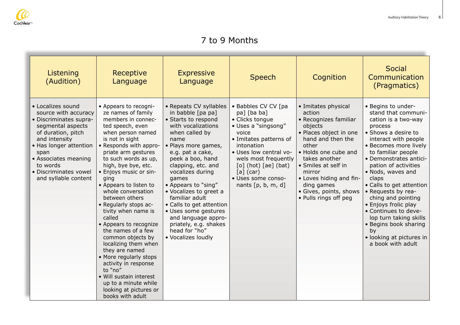

#### 7 to 9 Months

| Listening<br>(Audition)                                                                                                                                                                                                                                | Receptive<br>Language                                                                                                                                                                                                                                                                                                                                                                                                                                                                                                                                                                                                                                                    | <b>Expressive</b><br>Language                                                                                                                                                                                                                                                                                                                                                                                                                      | <b>Speech</b>                                                                                                                                                                                                                                                            | Cognition                                                                                                                                                                                                                                                                                       | <b>Social</b><br>Communication<br>(Pragmatics)                                                                                                                                                                                                                                                                                                                                                                                                                                              |
|--------------------------------------------------------------------------------------------------------------------------------------------------------------------------------------------------------------------------------------------------------|--------------------------------------------------------------------------------------------------------------------------------------------------------------------------------------------------------------------------------------------------------------------------------------------------------------------------------------------------------------------------------------------------------------------------------------------------------------------------------------------------------------------------------------------------------------------------------------------------------------------------------------------------------------------------|----------------------------------------------------------------------------------------------------------------------------------------------------------------------------------------------------------------------------------------------------------------------------------------------------------------------------------------------------------------------------------------------------------------------------------------------------|--------------------------------------------------------------------------------------------------------------------------------------------------------------------------------------------------------------------------------------------------------------------------|-------------------------------------------------------------------------------------------------------------------------------------------------------------------------------------------------------------------------------------------------------------------------------------------------|---------------------------------------------------------------------------------------------------------------------------------------------------------------------------------------------------------------------------------------------------------------------------------------------------------------------------------------------------------------------------------------------------------------------------------------------------------------------------------------------|
| • Localizes sound<br>source with accuracy<br>• Discriminates supra-<br>segmental aspects<br>of duration, pitch<br>and intensity<br>• Has longer attention<br>span<br>• Associates meaning<br>to words<br>· Discriminates vowel<br>and syllable content | • Appears to recogni-<br>ze names of family<br>members in connec-<br>ted speech, even<br>when person named<br>is not in sight<br>• Responds with appro-<br>priate arm gestures<br>to such words as up,<br>high, bye bye, etc.<br>• Enjoys music or sin-<br>ging<br>• Appears to listen to<br>whole conversation<br>between others<br>• Regularly stops ac-<br>tivity when name is<br>called<br>• Appears to recognize<br>the names of a few<br>common objects by<br>localizing them when<br>they are named<br>• More regularly stops<br>activity in response<br>to "no"<br>• Will sustain interest<br>up to a minute while<br>looking at pictures or<br>books with adult | • Repeats CV syllables<br>in babble [pa pa]<br>• Starts to respond<br>with vocalizations<br>when called by<br>name<br>• Plays more games,<br>e.g. pat a cake,<br>peek a boo, hand<br>clapping, etc. and<br>vocalizes during<br>games<br>• Appears to "sing"<br>• Vocalizes to greet a<br>familiar adult<br>• Calls to get attention<br>· Uses some gestures<br>and language appro-<br>priately, e.g. shakes<br>head for "ho"<br>• Vocalizes loudly | • Babbles CV CV [pa<br>pa] [ba ba]<br>• Clicks tongue<br>• Uses a "singsong"<br>voice<br>• Imitates patterns of<br>intonation<br>• Uses low central vo-<br>wels most frequently<br>$[o]$ (hot) $[ae]$ (bat)<br>$[a]$ (car)<br>· Uses some conso-<br>nants $[p, b, m, d]$ | • Imitates physical<br>action<br>• Recognizes familiar<br>objects<br>• Places object in one<br>hand and then the<br>other<br>• Holds one cube and<br>takes another<br>• Smiles at self in<br>mirror<br>• Loves hiding and fin-<br>ding games<br>• Gives, points, shows<br>• Pulls rings off peg | • Begins to under-<br>stand that communi-<br>cation is a two-way<br>process<br>• Shows a desire to<br>interact with people<br>• Becomes more lively<br>to familiar people<br>• Demonstrates antici-<br>pation of activities<br>• Nods, waves and<br>claps<br>• Calls to get attention<br>• Requests by rea-<br>ching and pointing<br>• Enjoys frolic play<br>• Continues to deve-<br>lop turn taking skills<br>• Begins book sharing<br>by<br>· looking at pictures in<br>a book with adult |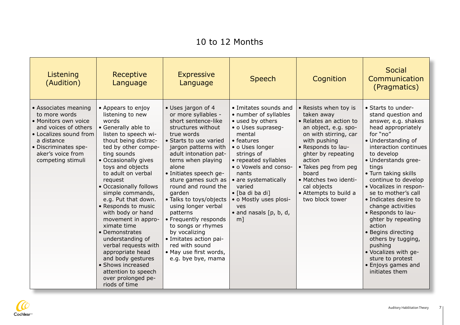### 10 to 12 Months

| Listening<br>(Audition)                                                                                                                                                                         | Receptive<br>Language                                                                                                                                                                                                                                                                                                                                                                                                                                                                                                                                                                     | <b>Expressive</b><br>Language                                                                                                                                                                                                                                                                                                                                                                                                                                                                                              | <b>Speech</b>                                                                                                                                                                                                                                                                                                                                | Cognition                                                                                                                                                                                                                                                                                                 | Social<br>Communication<br>(Pragmatics)                                                                                                                                                                                                                                                                                                                                                                                                                                                                                                       |
|-------------------------------------------------------------------------------------------------------------------------------------------------------------------------------------------------|-------------------------------------------------------------------------------------------------------------------------------------------------------------------------------------------------------------------------------------------------------------------------------------------------------------------------------------------------------------------------------------------------------------------------------------------------------------------------------------------------------------------------------------------------------------------------------------------|----------------------------------------------------------------------------------------------------------------------------------------------------------------------------------------------------------------------------------------------------------------------------------------------------------------------------------------------------------------------------------------------------------------------------------------------------------------------------------------------------------------------------|----------------------------------------------------------------------------------------------------------------------------------------------------------------------------------------------------------------------------------------------------------------------------------------------------------------------------------------------|-----------------------------------------------------------------------------------------------------------------------------------------------------------------------------------------------------------------------------------------------------------------------------------------------------------|-----------------------------------------------------------------------------------------------------------------------------------------------------------------------------------------------------------------------------------------------------------------------------------------------------------------------------------------------------------------------------------------------------------------------------------------------------------------------------------------------------------------------------------------------|
| • Associates meaning<br>to more words<br>• Monitors own voice<br>and voices of others<br>• Localizes sound from<br>a distance<br>• Discriminates spe-<br>aker's voice from<br>competing stimuli | • Appears to enjoy<br>listening to new<br>words<br>• Generally able to<br>listen to speech wi-<br>thout being distrac-<br>ted by other compe-<br>ting sounds<br>• Occasionally gives<br>toys and objects<br>to adult on verbal<br>request<br>• Occasionally follows<br>simple commands,<br>e.g. Put that down.<br>• Responds to music<br>with body or hand<br>movement in appro-<br>ximate time<br>• Demonstrates<br>understanding of<br>verbal requests with<br>appropriate head<br>and body gestures<br>• Shows increased<br>attention to speech<br>over prolonged pe-<br>riods of time | · Uses jargon of 4<br>or more syllables -<br>short sentence-like<br>structures without<br>true words<br>• Starts to use varied<br>jargon patterns with<br>adult intonation pat-<br>terns when playing<br>alone<br>· Initiates speech ge-<br>sture games such as<br>round and round the<br>garden<br>• Talks to toys/objects<br>using longer verbal<br>patterns<br>• Frequently responds<br>to songs or rhymes<br>by vocalizing<br>• Imitates action pai-<br>red with sound<br>• May use first words,<br>e.g. bye bye, mama | • Imitates sounds and<br>• number of syllables<br>• used by others<br>• o Uses supraseg-<br>mental<br>• features<br>• o Uses longer<br>strings of<br>• repeated syllables<br>• o Vowels and conso-<br>nants<br>• are systematically<br>varied<br>• [ba di ba di]<br>• o Mostly uses plosi-<br>ves<br>$\bullet$ and nasals [p, b, d,<br>$m$ ] | • Resists when toy is<br>taken away<br>• Relates an action to<br>an object, e.g. spo-<br>on with stirring, car<br>with pushing<br>• Responds to lau-<br>ghter by repeating<br>action<br>• Takes peg from peg<br>board<br>• Matches two identi-<br>cal objects<br>• Attempts to build a<br>two block tower | • Starts to under-<br>stand question and<br>answer, e.g. shakes<br>head appropriately<br>for "no"<br>• Understanding of<br>interaction continues<br>to develop<br>• Understands gree-<br>tings<br>• Turn taking skills<br>continue to develop<br>· Vocalizes in respon-<br>se to mother's call<br>• Indicates desire to<br>change activities<br>• Responds to lau-<br>ghter by repeating<br>action<br>• Begins directing<br>others by tugging,<br>pushing<br>• Vocalizes with ge-<br>sture to protest<br>• Enjoys games and<br>initiates them |

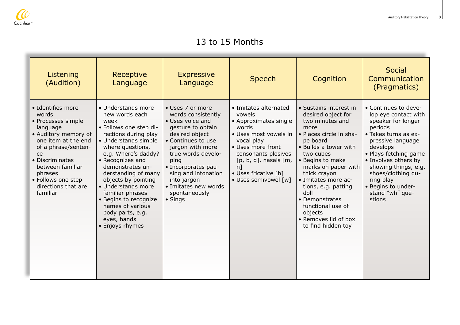

#### 13 to 15 Months

| Listening<br>(Audition)                                                                                                                                                                                                                             | Receptive<br>Language                                                                                                                                                                                                                                                                                                                                                                                | <b>Expressive</b><br>Language                                                                                                                                                                                                                                                                      | <b>Speech</b>                                                                                                                                                                                                                               | Cognition                                                                                                                                                                                                                                                                                                                                                             | <b>Social</b><br>Communication<br>(Pragmatics)                                                                                                                                                                                                                                                        |
|-----------------------------------------------------------------------------------------------------------------------------------------------------------------------------------------------------------------------------------------------------|------------------------------------------------------------------------------------------------------------------------------------------------------------------------------------------------------------------------------------------------------------------------------------------------------------------------------------------------------------------------------------------------------|----------------------------------------------------------------------------------------------------------------------------------------------------------------------------------------------------------------------------------------------------------------------------------------------------|---------------------------------------------------------------------------------------------------------------------------------------------------------------------------------------------------------------------------------------------|-----------------------------------------------------------------------------------------------------------------------------------------------------------------------------------------------------------------------------------------------------------------------------------------------------------------------------------------------------------------------|-------------------------------------------------------------------------------------------------------------------------------------------------------------------------------------------------------------------------------------------------------------------------------------------------------|
| • Identifies more<br>words<br>• Processes simple<br>language<br>• Auditory memory of<br>one item at the end<br>of a phrase/senten-<br>ce<br>• Discriminates<br>between familiar<br>phrases<br>• Follows one step<br>directions that are<br>familiar | • Understands more<br>new words each<br>week<br>· Follows one step di-<br>rections during play<br>• Understands simple<br>where questions,<br>e.g. Where's daddy?<br>• Recognizes and<br>demonstrates un-<br>derstanding of many<br>objects by pointing<br>• Understands more<br>familiar phrases<br>• Begins to recognize<br>names of various<br>body parts, e.g.<br>eyes, hands<br>• Enjoys rhymes | • Uses 7 or more<br>words consistently<br>• Uses voice and<br>gesture to obtain<br>desired object<br>• Continues to use<br>jargon with more<br>true words develo-<br>ping<br>• Incorporates pau-<br>sing and intonation<br>into jargon<br>• Imitates new words<br>spontaneously<br>$\bullet$ Sings | • Imitates alternated<br>vowels<br>• Approximates single<br>words<br>• Uses most vowels in<br>vocal play<br>• Uses more front<br>consonants plosives<br>$[p, b, d]$ , nasals $[m,$<br>$n$ ]<br>• Uses fricative [h]<br>• Uses semivowel [w] | • Sustains interest in<br>desired object for<br>two minutes and<br>more<br>• Places circle in sha-<br>pe board<br>• Builds a tower with<br>two cubes<br>• Begins to make<br>marks on paper with<br>thick crayon<br>• Imitates more ac-<br>tions, e.g. patting<br>doll<br>• Demonstrates<br>functional use of<br>objects<br>• Removes lid of box<br>to find hidden toy | • Continues to deve-<br>lop eye contact with<br>speaker for longer<br>periods<br>• Takes turns as ex-<br>pressive language<br>develops<br>• Plays fetching game<br>· Involves others by<br>showing things, e.g.<br>shoes/clothing du-<br>ring play<br>• Begins to under-<br>stand "wh" que-<br>stions |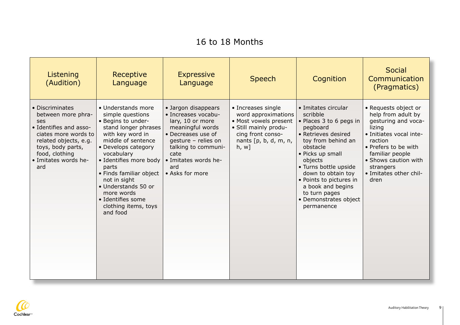### 16 to 18 Months

| Listening<br>(Audition)                                                                                                                                                                       | Receptive<br>Language                                                                                                                                                                                                                                                                                                                           | <b>Expressive</b><br>Language                                                                                                                                                                                    | <b>Speech</b>                                                                                                                                           | Cognition                                                                                                                                                                                                                                                                                                             | <b>Social</b><br>Communication<br>(Pragmatics)                                                                                                                                                                                      |
|-----------------------------------------------------------------------------------------------------------------------------------------------------------------------------------------------|-------------------------------------------------------------------------------------------------------------------------------------------------------------------------------------------------------------------------------------------------------------------------------------------------------------------------------------------------|------------------------------------------------------------------------------------------------------------------------------------------------------------------------------------------------------------------|---------------------------------------------------------------------------------------------------------------------------------------------------------|-----------------------------------------------------------------------------------------------------------------------------------------------------------------------------------------------------------------------------------------------------------------------------------------------------------------------|-------------------------------------------------------------------------------------------------------------------------------------------------------------------------------------------------------------------------------------|
| • Discriminates<br>between more phra-<br>ses<br>· Identifies and asso-<br>ciates more words to<br>related objects, e.g.<br>toys, body parts,<br>food, clothing<br>· Imitates words he-<br>ard | • Understands more<br>simple questions<br>• Begins to under-<br>stand longer phrases<br>with key word in<br>middle of sentence<br>• Develops category<br>vocabulary<br>• Identifies more body<br>parts<br>• Finds familiar object<br>not in sight<br>• Understands 50 or<br>more words<br>· Identifies some<br>clothing items, toys<br>and food | • Jargon disappears<br>• Increases vocabu-<br>lary, 10 or more<br>meaningful words<br>• Decreases use of<br>gesture - relies on<br>talking to communi-<br>cate<br>· Imitates words he-<br>ard<br>• Asks for more | • Increases single<br>word approximations<br>• Most vowels present<br>· Still mainly produ-<br>cing front conso-<br>nants $[p, b, d, m, n,$<br>$h, w$ ] | • Imitates circular<br>scribble<br>• Places 3 to 6 pegs in<br>pegboard<br>• Retrieves desired<br>toy from behind an<br>obstacle<br>• Picks up small<br>objects<br>• Turns bottle upside<br>down to obtain toy<br>• Points to pictures in<br>a book and begins<br>to turn pages<br>• Demonstrates object<br>permanence | • Requests object or<br>help from adult by<br>gesturing and voca-<br>lizing<br>· Initiates vocal inte-<br>raction<br>• Prefers to be with<br>familiar people<br>• Shows caution with<br>strangers<br>• Imitates other chil-<br>dren |

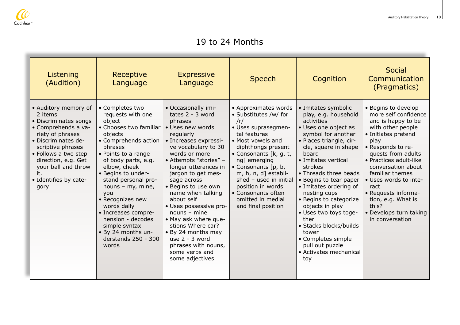

#### 19 to 24 Months

| Listening<br>(Audition)                                                                                                                                                                                                                                       | Receptive<br>Language                                                                                                                                                                                                                                                                                                                                                                                                 | <b>Expressive</b><br>Language                                                                                                                                                                                                                                                                                                                                                                                                                                                                          | <b>Speech</b>                                                                                                                                                                                                                                                                                                                                          | Cognition                                                                                                                                                                                                                                                                                                                                                                                                                                                                                     | <b>Social</b><br>Communication<br>(Pragmatics)                                                                                                                                                                                                                                                                                                                          |
|---------------------------------------------------------------------------------------------------------------------------------------------------------------------------------------------------------------------------------------------------------------|-----------------------------------------------------------------------------------------------------------------------------------------------------------------------------------------------------------------------------------------------------------------------------------------------------------------------------------------------------------------------------------------------------------------------|--------------------------------------------------------------------------------------------------------------------------------------------------------------------------------------------------------------------------------------------------------------------------------------------------------------------------------------------------------------------------------------------------------------------------------------------------------------------------------------------------------|--------------------------------------------------------------------------------------------------------------------------------------------------------------------------------------------------------------------------------------------------------------------------------------------------------------------------------------------------------|-----------------------------------------------------------------------------------------------------------------------------------------------------------------------------------------------------------------------------------------------------------------------------------------------------------------------------------------------------------------------------------------------------------------------------------------------------------------------------------------------|-------------------------------------------------------------------------------------------------------------------------------------------------------------------------------------------------------------------------------------------------------------------------------------------------------------------------------------------------------------------------|
| • Auditory memory of<br>2 items<br>• Discriminates songs<br>• Comprehends a va-<br>riety of phrases<br>· Discriminates de-<br>scriptive phrases<br>• Follows a two step<br>direction, e.g. Get<br>your ball and throw<br>it.<br>• Identifies by cate-<br>gory | • Completes two<br>requests with one<br>object<br>• Chooses two familiar<br>objects<br>• Comprehends action<br>phrases<br>• Points to a range<br>of body parts, e.g.<br>elbow, cheek<br>• Begins to under-<br>stand personal pro-<br>nouns $-$ my, mine,<br>you<br>• Recognizes new<br>words daily<br>• Increases compre-<br>hension - decodes<br>simple syntax<br>• By 24 months un-<br>derstands 250 - 300<br>words | • Occasionally imi-<br>tates $2 - 3$ word<br>phrases<br>• Uses new words<br>regularly<br>• Increases expressi-<br>ve vocabulary to 30<br>words or more<br>• Attempts "stories" -<br>longer utterances in<br>jargon to get mes-<br>sage across<br>· Begins to use own<br>name when talking<br>about self<br>· Uses possessive pro-<br>$nouns - mine$<br>• May ask where que-<br>stions Where car?<br>• By 24 months may<br>use $2 - 3$ word<br>phrases with nouns,<br>some verbs and<br>some adjectives | • Approximates words<br>• Substitutes /w/ for<br>/r/<br>• Uses suprasegmen-<br>tal features<br>• Most vowels and<br>diphthongs present<br>• Consonants [k, g, t,<br>ng] emerging<br>• Consonants $[p, b, c]$<br>m, h, n, d] establi-<br>shed $-$ used in initial<br>position in words<br>• Consonants often<br>omitted in medial<br>and final position | • Imitates symbolic<br>play, e.g. household<br>activities<br>• Uses one object as<br>symbol for another<br>· Places triangle, cir-<br>cle, square in shape<br>board<br>• Imitates vertical<br>strokes<br>• Threads three beads<br>• Begins to tear paper<br>• Imitates ordering of<br>nesting cups<br>• Begins to categorize<br>objects in play<br>• Uses two toys toge-<br>ther<br>• Stacks blocks/builds<br>tower<br>• Completes simple<br>pull out puzzle<br>• Activates mechanical<br>toy | • Begins to develop<br>more self confidence<br>and is happy to be<br>with other people<br>• Initiates pretend<br>play<br>• Responds to re-<br>quests from adults<br>• Practices adult-like<br>conversation about<br>familiar themes<br>• Uses words to inte-<br>ract<br>• Requests informa-<br>tion, e.g. What is<br>this?<br>• Develops turn taking<br>in conversation |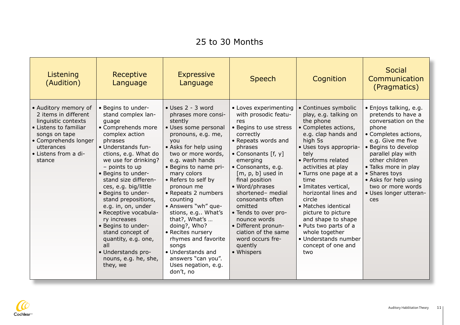#### 25 to 30 Months

| Listening<br>(Audition)                                                                                                                                                               | Receptive<br>Language                                                                                                                                                                                                                                                                                                                                                                                                                                                                                              | <b>Expressive</b><br>Language                                                                                                                                                                                                                                                                                                                                                                                                                                                                                        | <b>Speech</b>                                                                                                                                                                                                                                                                                                                                                                                                                            | Cognition                                                                                                                                                                                                                                                                                                                                                                                                                                                        | <b>Social</b><br>Communication<br>(Pragmatics)                                                                                                                                                                                                                                                                   |
|---------------------------------------------------------------------------------------------------------------------------------------------------------------------------------------|--------------------------------------------------------------------------------------------------------------------------------------------------------------------------------------------------------------------------------------------------------------------------------------------------------------------------------------------------------------------------------------------------------------------------------------------------------------------------------------------------------------------|----------------------------------------------------------------------------------------------------------------------------------------------------------------------------------------------------------------------------------------------------------------------------------------------------------------------------------------------------------------------------------------------------------------------------------------------------------------------------------------------------------------------|------------------------------------------------------------------------------------------------------------------------------------------------------------------------------------------------------------------------------------------------------------------------------------------------------------------------------------------------------------------------------------------------------------------------------------------|------------------------------------------------------------------------------------------------------------------------------------------------------------------------------------------------------------------------------------------------------------------------------------------------------------------------------------------------------------------------------------------------------------------------------------------------------------------|------------------------------------------------------------------------------------------------------------------------------------------------------------------------------------------------------------------------------------------------------------------------------------------------------------------|
| • Auditory memory of<br>2 items in different<br>linguistic contexts<br>• Listens to familiar<br>songs on tape<br>• Comprehends longer<br>utterances<br>• Listens from a di-<br>stance | • Begins to under-<br>stand complex lan-<br>guage<br>• Comprehends more<br>complex action<br>phrases<br>• Understands fun-<br>ctions, e.g. What do<br>we use for drinking?<br>$-$ points to up<br>• Begins to under-<br>stand size differen-<br>ces, e.g. big/little<br>• Begins to under-<br>stand prepositions,<br>e.g. in, on, under<br>• Receptive vocabula-<br>ry increases<br>• Begins to under-<br>stand concept of<br>quantity, e.g. one,<br>all<br>• Understands pro-<br>nouns, e.g. he, she,<br>they, we | $\bullet$ Uses 2 - 3 word<br>phrases more consi-<br>stently<br>· Uses some personal<br>pronouns, e.g. me,<br>you<br>• Asks for help using<br>two or more words,<br>e.g. wash hands<br>• Begins to name pri-<br>mary colors<br>• Refers to self by<br>pronoun me<br>• Repeats 2 numbers<br>counting<br>• Answers "wh" que-<br>stions, e.g What's<br>that?, What's<br>doing?, Who?<br>• Recites nursery<br>rhymes and favorite<br>songs<br>• Understands and<br>answers "can you".<br>Uses negation, e.g.<br>don't, no | • Loves experimenting<br>with prosodic featu-<br>res<br>• Begins to use stress<br>correctly<br>• Repeats words and<br>phrases<br>• Consonants [f, y]<br>emerging<br>• Consonants, e.g.<br>$[m, p, b]$ used in<br>final position<br>• Word/phrases<br>shortened- medial<br>consonants often<br>omitted<br>• Tends to over pro-<br>nounce words<br>• Different pronun-<br>ciation of the same<br>word occurs fre-<br>quently<br>• Whispers | • Continues symbolic<br>play, e.g. talking on<br>the phone<br>• Completes actions,<br>e.g. clap hands and<br>high 5s<br>• Uses toys appropria-<br>tely<br>• Performs related<br>activities at play<br>• Turns one page at a<br>time<br>• Imitates vertical,<br>horizontal lines and<br>circle<br>• Matches identical<br>picture to picture<br>and shape to shape<br>• Puts two parts of a<br>whole together<br>• Understands number<br>concept of one and<br>two | • Enjoys talking, e.g.<br>pretends to have a<br>conversation on the<br>phone<br>• Completes actions,<br>e.g. Give me five<br>• Begins to develop<br>parallel play with<br>other children<br>• Talks more in play<br>• Shares toys<br>• Asks for help using<br>two or more words<br>• Uses longer utteran-<br>ces |

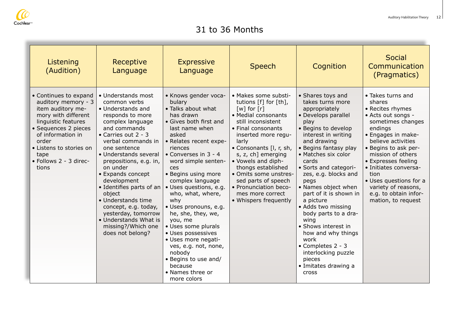

#### 31 to 36 Months

| Listening<br>(Audition)                                                                                                                                                                                                                     | Receptive<br>Language                                                                                                                                                                                                                                                                                                                                                                                                                                           | <b>Expressive</b><br>Language                                                                                                                                                                                                                                                                                                                                                                                                                                                                                                                            | <b>Speech</b>                                                                                                                                                                                                                                                                                                                                                                                                  | Cognition                                                                                                                                                                                                                                                                                                                                                                                                                                                                                                                                   | <b>Social</b><br>Communication<br>(Pragmatics)                                                                                                                                                                                                                                                                                                         |
|---------------------------------------------------------------------------------------------------------------------------------------------------------------------------------------------------------------------------------------------|-----------------------------------------------------------------------------------------------------------------------------------------------------------------------------------------------------------------------------------------------------------------------------------------------------------------------------------------------------------------------------------------------------------------------------------------------------------------|----------------------------------------------------------------------------------------------------------------------------------------------------------------------------------------------------------------------------------------------------------------------------------------------------------------------------------------------------------------------------------------------------------------------------------------------------------------------------------------------------------------------------------------------------------|----------------------------------------------------------------------------------------------------------------------------------------------------------------------------------------------------------------------------------------------------------------------------------------------------------------------------------------------------------------------------------------------------------------|---------------------------------------------------------------------------------------------------------------------------------------------------------------------------------------------------------------------------------------------------------------------------------------------------------------------------------------------------------------------------------------------------------------------------------------------------------------------------------------------------------------------------------------------|--------------------------------------------------------------------------------------------------------------------------------------------------------------------------------------------------------------------------------------------------------------------------------------------------------------------------------------------------------|
| • Continues to expand<br>auditory memory - 3<br>item auditory me-<br>mory with different<br>linguistic features<br>• Sequences 2 pieces<br>of information in<br>order<br>• Listens to stories on<br>tape<br>· Follows 2 - 3 direc-<br>tions | • Understands most<br>common verbs<br>• Understands and<br>responds to more<br>complex language<br>and commands<br>• Carries out $2 - 3$<br>verbal commands in<br>one sentence<br>• Understands several<br>prepositions, e.g. in,<br>on under<br>• Expands concept<br>development<br>• Identifies parts of an<br>object<br>• Understands time<br>concept, e.g. today,<br>yesterday, tomorrow<br>• Understands What is<br>missing?/Which one<br>does not belong? | • Knows gender voca-<br>bulary<br>• Talks about what<br>has drawn<br>• Gives both first and<br>last name when<br>asked<br>• Relates recent expe-<br>riences<br>• Converses in 3 - 4<br>word simple senten-<br>ces<br>• Begins using more<br>complex language<br>· Uses questions, e.g.<br>who, what, where,<br>why<br>· Uses pronouns, e.g.<br>he, she, they, we,<br>you, me<br>• Uses some plurals<br>· Uses possessives<br>• Uses more negati-<br>ves, e.g. not, none,<br>nobody<br>• Begins to use and/<br>because<br>• Names three or<br>more colors | • Makes some substi-<br>tutions [f] for [th],<br>$\lceil w \rceil$ for $\lceil r \rceil$<br>• Medial consonants<br>still inconsistent<br>• Final consonants<br>inserted more regu-<br>larly<br>• Consonants [I, r, sh,<br>s, z, ch] emerging<br>• Vowels and diph-<br>thongs established<br>• Omits some unstres-<br>sed parts of speech<br>• Pronunciation beco-<br>mes more correct<br>• Whispers frequently | • Shares toys and<br>takes turns more<br>appropriately<br>• Develops parallel<br>play<br>• Begins to develop<br>interest in writing<br>and drawing<br>• Begins fantasy play<br>• Matches six color<br>cards<br>• Sorts and categori-<br>zes, e.g. blocks and<br>pegs<br>• Names object when<br>part of it is shown in<br>a picture<br>• Adds two missing<br>body parts to a dra-<br>wing<br>• Shows interest in<br>how and why things<br>work<br>• Completes 2 - 3<br>interlocking puzzle<br>pieces<br>• Imitates drawing a<br><b>Cross</b> | • Takes turns and<br>shares<br>• Recites rhymes<br>• Acts out songs -<br>sometimes changes<br>endings<br>• Engages in make-<br>believe activities<br>• Begins to ask per-<br>mission of others<br>• Expresses feeling<br>• Initiates conversa-<br>tion<br>• Uses questions for a<br>variety of reasons,<br>e.g. to obtain infor-<br>mation, to request |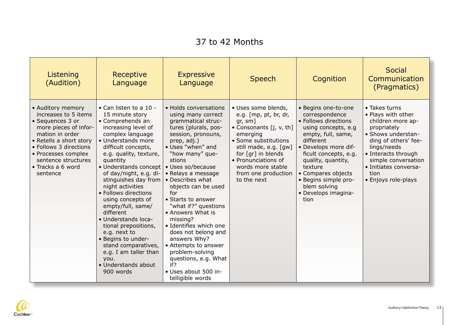#### 37 to 42 Months

| Listening<br>(Audition)                                                                                                                                                                                                                       | Receptive<br>Language                                                                                                                                                                                                                                                                                                                                                                                                                                                                                                                                              | <b>Expressive</b><br>Language                                                                                                                                                                                                                                                                                                                                                                                                                                                                                                                       | <b>Speech</b>                                                                                                                                                                                                                                                                | Cognition                                                                                                                                                                                                                                                                                              | <b>Social</b><br>Communication<br>(Pragmatics)                                                                                                                                                                                             |
|-----------------------------------------------------------------------------------------------------------------------------------------------------------------------------------------------------------------------------------------------|--------------------------------------------------------------------------------------------------------------------------------------------------------------------------------------------------------------------------------------------------------------------------------------------------------------------------------------------------------------------------------------------------------------------------------------------------------------------------------------------------------------------------------------------------------------------|-----------------------------------------------------------------------------------------------------------------------------------------------------------------------------------------------------------------------------------------------------------------------------------------------------------------------------------------------------------------------------------------------------------------------------------------------------------------------------------------------------------------------------------------------------|------------------------------------------------------------------------------------------------------------------------------------------------------------------------------------------------------------------------------------------------------------------------------|--------------------------------------------------------------------------------------------------------------------------------------------------------------------------------------------------------------------------------------------------------------------------------------------------------|--------------------------------------------------------------------------------------------------------------------------------------------------------------------------------------------------------------------------------------------|
| • Auditory memory<br>increases to 5 items<br>• Sequences 3 or<br>more pieces of infor-<br>mation in order<br>• Retells a short story<br>• Follows 3 directions<br>• Processes complex<br>sentence structures<br>• Tracks a 6 word<br>sentence | $\bullet$ Can listen to a 10 -<br>15 minute story<br>• Comprehends an<br>increasing level of<br>complex language<br>• Understands more<br>difficult concepts,<br>e.g. quality, texture,<br>quantity<br>• Understands concept<br>of day/night, e.g. di-<br>stinguishes day from<br>night activities<br>• Follows directions<br>using concepts of<br>empty/full, same/<br>different<br>• Understands loca-<br>tional prepositions,<br>e.g. next to<br>• Begins to under-<br>stand comparatives,<br>e.g. I am taller than<br>you.<br>• Understands about<br>900 words | • Holds conversations<br>using many correct<br>grammatical struc-<br>tures (plurals, pos-<br>session, pronouns,<br>prep, adj.)<br>• Uses "when" and<br>"how many" que-<br>stions<br>· Uses so/because<br>• Relays a message<br>• Describes what<br>objects can be used<br>for<br>• Starts to answer<br>"what if?" questions<br>• Answers What is<br>missing?<br>• Identifies which one<br>does not belong and<br>answers Why?<br>• Attempts to answer<br>problem-solving<br>questions, e.g. What<br>if?<br>· Uses about 500 in-<br>telligible words | · Uses some blends,<br>e.g. [mp, pt, br, dr,<br>gr, sm]<br>• Consonants [j, v, th]<br>emerging<br>• Some substitutions<br>still made, e.g. [gw]<br>for $\lceil \text{gr} \rceil$ in blends<br>• Pronunciations of<br>words more stable<br>from one production<br>to the next | • Begins one-to-one<br>correspondence<br>• Follows directions<br>using concepts, e.g<br>empty, full, same,<br>different<br>• Develops more dif-<br>ficult concepts, e.g.<br>quality, quantity,<br>texture<br>• Compares objects<br>• Begins simple pro-<br>blem solving<br>· Develops imagina-<br>tion | • Takes turns<br>• Plays with other<br>children more ap-<br>propriately<br>· Shows understan-<br>ding of others' fee-<br>lings/needs<br>• Interacts through<br>simple conversation<br>• Initiates conversa-<br>tion<br>• Enjoys role-plays |

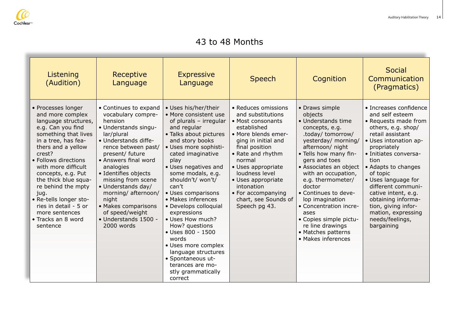

#### 43 to 48 Months

| Listening<br>(Audition)                                                                                                                                                                                                                                                                                                                                                                              | Receptive<br>Language                                                                                                                                                                                                                                                                                                                                                                   | <b>Expressive</b><br>Language                                                                                                                                                                                                                                                                                                                                                                                                                                                                                                                        | <b>Speech</b>                                                                                                                                                                                                                                                                                                          | Cognition                                                                                                                                                                                                                                                                                                                                                                                                                          | Social<br>Communication<br>(Pragmatics)                                                                                                                                                                                                                                                                                                                                                         |
|------------------------------------------------------------------------------------------------------------------------------------------------------------------------------------------------------------------------------------------------------------------------------------------------------------------------------------------------------------------------------------------------------|-----------------------------------------------------------------------------------------------------------------------------------------------------------------------------------------------------------------------------------------------------------------------------------------------------------------------------------------------------------------------------------------|------------------------------------------------------------------------------------------------------------------------------------------------------------------------------------------------------------------------------------------------------------------------------------------------------------------------------------------------------------------------------------------------------------------------------------------------------------------------------------------------------------------------------------------------------|------------------------------------------------------------------------------------------------------------------------------------------------------------------------------------------------------------------------------------------------------------------------------------------------------------------------|------------------------------------------------------------------------------------------------------------------------------------------------------------------------------------------------------------------------------------------------------------------------------------------------------------------------------------------------------------------------------------------------------------------------------------|-------------------------------------------------------------------------------------------------------------------------------------------------------------------------------------------------------------------------------------------------------------------------------------------------------------------------------------------------------------------------------------------------|
| • Processes longer<br>and more complex<br>language structures,<br>e.g. Can you find<br>something that lives<br>in a tree, has fea-<br>thers and a yellow<br>crest?<br>• Follows directions<br>with more difficult<br>concepts, e.g. Put<br>the thick blue squa-<br>re behind the mpty<br>jug.<br>· Re-tells longer sto-<br>ries in detail - 5 or<br>more sentences<br>• Tracks an 8 word<br>sentence | • Continues to expand<br>vocabulary compre-<br>hension<br>• Understands singu-<br>lar/plural<br>• Understands diffe-<br>rence between past/<br>present/ future<br>• Answers final word<br>analogies<br>• Identifies objects<br>missing from scene<br>• Understands day/<br>morning/ afternoon/<br>night<br>• Makes comparisons<br>of speed/weight<br>• Understands 1500 -<br>2000 words | • Uses his/her/their<br>• More consistent use<br>of plurals - irregular<br>and regular<br>• Talks about pictures<br>and story books<br>· Uses more sophisti-<br>cated imaginative<br>play<br>• Uses negatives and<br>some modals, e.g.<br>shouldn't/ won't/<br>can't<br>• Uses comparisons<br>• Makes inferences<br>• Develops colloquial<br>expressions<br>· Uses How much?<br>How? questions<br>• Uses 800 - 1500<br>words<br>• Uses more complex<br>language structures<br>· Spontaneous ut-<br>terances are mo-<br>stly grammatically<br>correct | • Reduces omissions<br>and substitutions<br>• Most consonants<br>established<br>• More blends emer-<br>ging in initial and<br>final position<br>• Rate and rhythm<br>normal<br>• Uses appropriate<br>loudness level<br>• Uses appropriate<br>intonation<br>• For accompanying<br>chart, see Sounds of<br>Speech pg 43. | • Draws simple<br>objects<br>• Understands time<br>concepts, e.g.<br>.today/ tomorrow/<br>yesterday/ morning/<br>afternoon/ night<br>• Tells how many fin-<br>gers and toes<br>• Associates an object<br>with an occupation,<br>e.g. thermometer/<br>doctor<br>• Continues to deve-<br>lop imagination<br>• Concentration incre-<br>ases<br>• Copies simple pictu-<br>re line drawings<br>• Matches patterns<br>• Makes inferences | • Increases confidence<br>and self esteem<br>• Requests made from<br>others, e.g. shop/<br>retail assistant<br>• Uses intonation ap-<br>propriately<br>• Initiates conversa-<br>tion<br>• Adapts to changes<br>of topic<br>• Uses language for<br>different communi-<br>cative intent, e.g.<br>obtaining informa-<br>tion, giving infor-<br>mation, expressing<br>needs/feelings,<br>bargaining |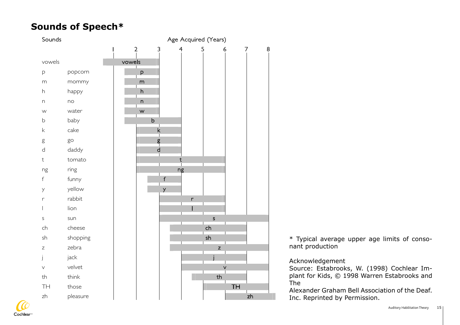#### $\overline{\phantom{a}}$ **Sounds of Speech\***



\* Typical average upper age limits of consonant production

#### Acknowledgement

Source: Estabrooks, W. (1998) Cochlear Implant for Kids, © 1998 Warren Estabrooks and The

Alexander Graham Bell Association of the Deaf. Inc. Reprinted by Permission.

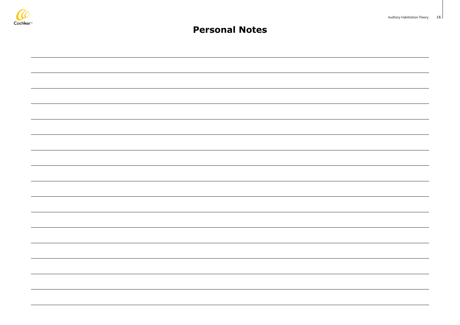

#### **Personal Notes**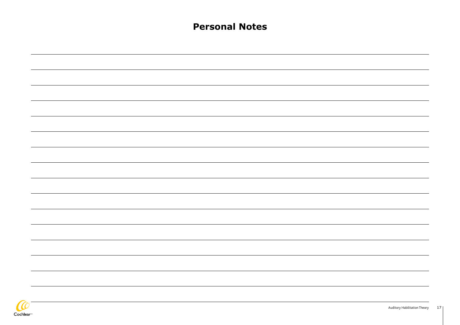| <b>Personal Notes</b> |
|-----------------------|
|                       |
|                       |
|                       |
|                       |
|                       |
|                       |
|                       |
|                       |
|                       |
|                       |
|                       |
|                       |
|                       |
|                       |
|                       |
|                       |
|                       |